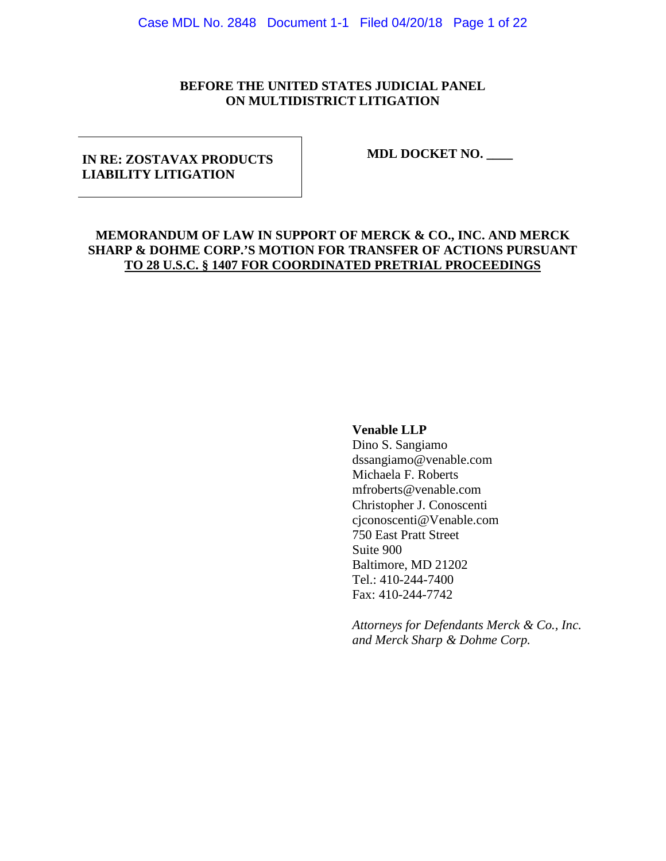Case MDL No. 2848 Document 1-1 Filed 04/20/18 Page 1 of 22

### **BEFORE THE UNITED STATES JUDICIAL PANEL ON MULTIDISTRICT LITIGATION**

### **IN RE: ZOSTAVAX PRODUCTS LIABILITY LITIGATION**

#### **MDL DOCKET NO. \_\_\_\_**

# **MEMORANDUM OF LAW IN SUPPORT OF MERCK & CO., INC. AND MERCK SHARP & DOHME CORP.'S MOTION FOR TRANSFER OF ACTIONS PURSUANT TO 28 U.S.C. § 1407 FOR COORDINATED PRETRIAL PROCEEDINGS**

### **Venable LLP**

Dino S. Sangiamo dssangiamo@venable.com Michaela F. Roberts mfroberts@venable.com Christopher J. Conoscenti cjconoscenti@Venable.com 750 East Pratt Street Suite 900 Baltimore, MD 21202 Tel.: 410-244-7400 Fax: 410-244-7742

*Attorneys for Defendants Merck & Co., Inc. and Merck Sharp & Dohme Corp.*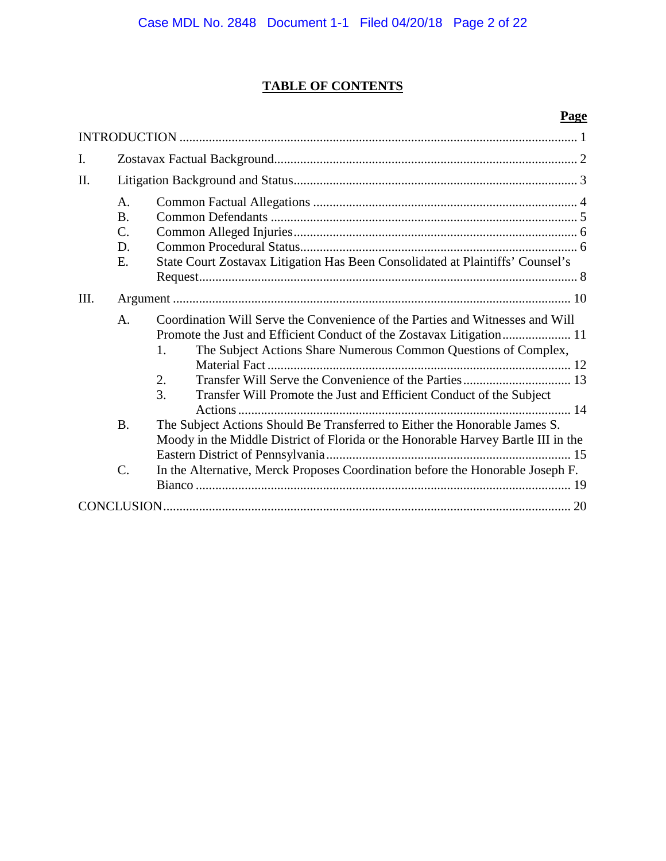# **TABLE OF CONTENTS**

# **Page**

| I.   |                                                |                                                                                                                                                                                                                                                                                                                   |
|------|------------------------------------------------|-------------------------------------------------------------------------------------------------------------------------------------------------------------------------------------------------------------------------------------------------------------------------------------------------------------------|
| II.  |                                                |                                                                                                                                                                                                                                                                                                                   |
|      | A.<br><b>B.</b><br>$\mathcal{C}$ .<br>D.<br>Ε. | State Court Zostavax Litigation Has Been Consolidated at Plaintiffs' Counsel's                                                                                                                                                                                                                                    |
| III. |                                                |                                                                                                                                                                                                                                                                                                                   |
|      | $\mathbf{A}$ .                                 | Coordination Will Serve the Convenience of the Parties and Witnesses and Will<br>Promote the Just and Efficient Conduct of the Zostavax Litigation 11<br>The Subject Actions Share Numerous Common Questions of Complex,<br>1.<br>2.<br>3.<br>Transfer Will Promote the Just and Efficient Conduct of the Subject |
|      | <b>B.</b>                                      | The Subject Actions Should Be Transferred to Either the Honorable James S.<br>Moody in the Middle District of Florida or the Honorable Harvey Bartle III in the                                                                                                                                                   |
|      | $\mathcal{C}$ .                                | In the Alternative, Merck Proposes Coordination before the Honorable Joseph F.                                                                                                                                                                                                                                    |
|      |                                                |                                                                                                                                                                                                                                                                                                                   |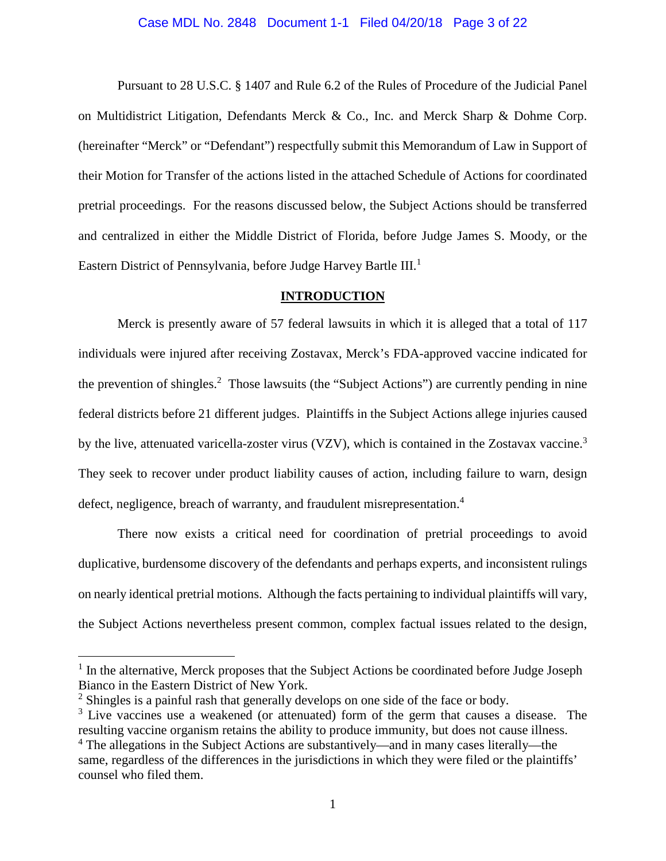#### Case MDL No. 2848 Document 1-1 Filed 04/20/18 Page 3 of 22

Pursuant to 28 U.S.C. § 1407 and Rule 6.2 of the Rules of Procedure of the Judicial Panel on Multidistrict Litigation, Defendants Merck & Co., Inc. and Merck Sharp & Dohme Corp. (hereinafter "Merck" or "Defendant") respectfully submit this Memorandum of Law in Support of their Motion for Transfer of the actions listed in the attached Schedule of Actions for coordinated pretrial proceedings. For the reasons discussed below, the Subject Actions should be transferred and centralized in either the Middle District of Florida, before Judge James S. Moody, or the Eastern District of Pennsylvania, before Judge Harvey Bartle III.<sup>1</sup>

#### **INTRODUCTION**

Merck is presently aware of 57 federal lawsuits in which it is alleged that a total of 117 individuals were injured after receiving Zostavax, Merck's FDA-approved vaccine indicated for the prevention of shingles.<sup>2</sup> Those lawsuits (the "Subject Actions") are currently pending in nine federal districts before 21 different judges. Plaintiffs in the Subject Actions allege injuries caused by the live, attenuated varicella-zoster virus (VZV), which is contained in the Zostavax vaccine.<sup>3</sup> They seek to recover under product liability causes of action, including failure to warn, design defect, negligence, breach of warranty, and fraudulent misrepresentation.<sup>4</sup>

There now exists a critical need for coordination of pretrial proceedings to avoid duplicative, burdensome discovery of the defendants and perhaps experts, and inconsistent rulings on nearly identical pretrial motions. Although the facts pertaining to individual plaintiffs will vary, the Subject Actions nevertheless present common, complex factual issues related to the design,

<sup>&</sup>lt;sup>1</sup> In the alternative, Merck proposes that the Subject Actions be coordinated before Judge Joseph Bianco in the Eastern District of New York.

<sup>&</sup>lt;sup>2</sup> Shingles is a painful rash that generally develops on one side of the face or body.

 $3$  Live vaccines use a weakened (or attenuated) form of the germ that causes a disease. The resulting vaccine organism retains the ability to produce immunity, but does not cause illness.

<sup>4</sup> The allegations in the Subject Actions are substantively—and in many cases literally—the same, regardless of the differences in the jurisdictions in which they were filed or the plaintiffs' counsel who filed them.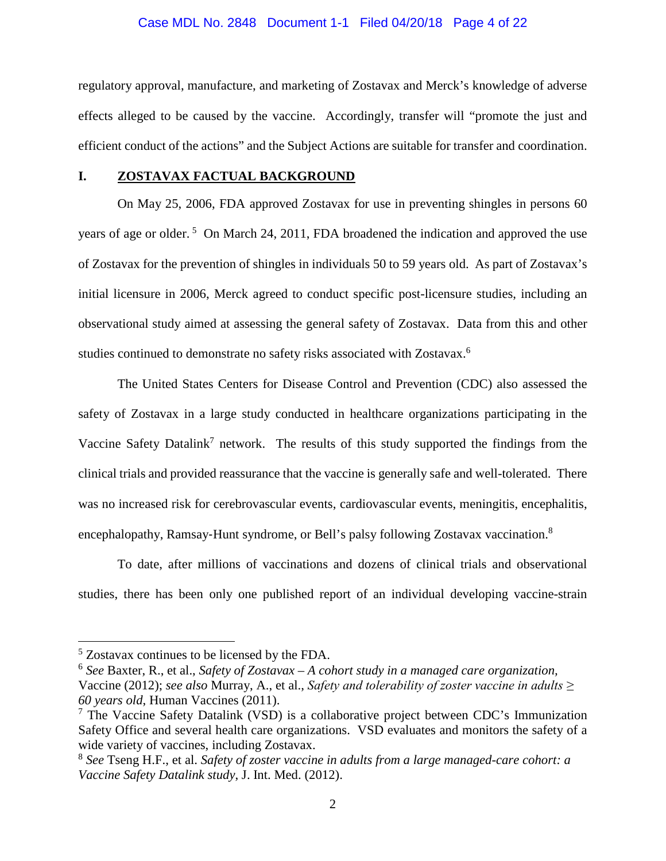#### Case MDL No. 2848 Document 1-1 Filed 04/20/18 Page 4 of 22

regulatory approval, manufacture, and marketing of Zostavax and Merck's knowledge of adverse effects alleged to be caused by the vaccine. Accordingly, transfer will "promote the just and efficient conduct of the actions" and the Subject Actions are suitable for transfer and coordination.

#### **I. ZOSTAVAX FACTUAL BACKGROUND**

On May 25, 2006, FDA approved Zostavax for use in preventing shingles in persons 60 years of age or older.<sup>5</sup> On March 24, 2011, FDA broadened the indication and approved the use of Zostavax for the prevention of shingles in individuals 50 to 59 years old. As part of Zostavax's initial licensure in 2006, Merck agreed to conduct specific post-licensure studies, including an observational study aimed at assessing the general safety of Zostavax. Data from this and other studies continued to demonstrate no safety risks associated with Zostavax.<sup>6</sup>

The United States Centers for Disease Control and Prevention (CDC) also assessed the safety of Zostavax in a large study conducted in healthcare organizations participating in the Vaccine Safety Datalink<sup>7</sup> network. The results of this study supported the findings from the clinical trials and provided reassurance that the vaccine is generally safe and well-tolerated. There was no increased risk for cerebrovascular events, cardiovascular events, meningitis, encephalitis, encephalopathy, Ramsay-Hunt syndrome, or Bell's palsy following Zostavax vaccination.<sup>8</sup>

To date, after millions of vaccinations and dozens of clinical trials and observational studies, there has been only one published report of an individual developing vaccine-strain

Vaccine (2012); *see also* Murray, A., et al., *Safety and tolerability of zoster vaccine in adults ≥ 60 years old*, Human Vaccines (2011).

<sup>5</sup> Zostavax continues to be licensed by the FDA.

<sup>6</sup> *See* Baxter, R., et al., *Safety of Zostavax – A cohort study in a managed care organization,*

<sup>7</sup> The Vaccine Safety Datalink (VSD) is a collaborative project between CDC's Immunization Safety Office and several health care organizations. VSD evaluates and monitors the safety of a wide variety of vaccines, including Zostavax.

<sup>8</sup> *See* Tseng H.F., et al. *Safety of zoster vaccine in adults from a large managed-care cohort: a Vaccine Safety Datalink study*, J. Int. Med. (2012).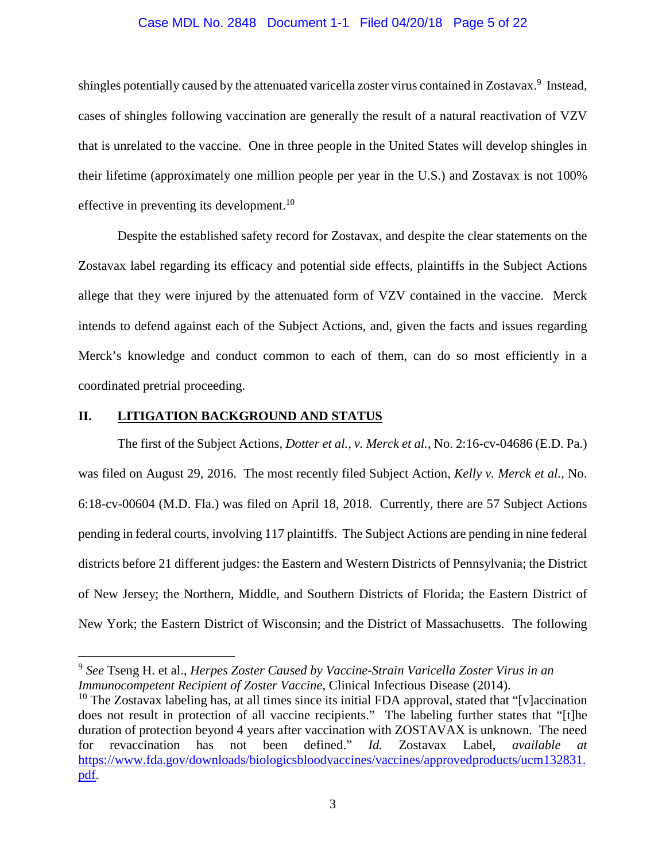#### Case MDL No. 2848 Document 1-1 Filed 04/20/18 Page 5 of 22

shingles potentially caused by the attenuated varicella zoster virus contained in Zostavax.<sup>9</sup> Instead, cases of shingles following vaccination are generally the result of a natural reactivation of VZV that is unrelated to the vaccine. One in three people in the United States will develop shingles in their lifetime (approximately one million people per year in the U.S.) and Zostavax is not 100% effective in preventing its development.<sup>10</sup>

Despite the established safety record for Zostavax, and despite the clear statements on the Zostavax label regarding its efficacy and potential side effects, plaintiffs in the Subject Actions allege that they were injured by the attenuated form of VZV contained in the vaccine. Merck intends to defend against each of the Subject Actions, and, given the facts and issues regarding Merck's knowledge and conduct common to each of them, can do so most efficiently in a coordinated pretrial proceeding.

# **II. LITIGATION BACKGROUND AND STATUS**

The first of the Subject Actions, *Dotter et al., v. Merck et al.*, No. 2:16-cv-04686 (E.D. Pa.) was filed on August 29, 2016. The most recently filed Subject Action, *Kelly v. Merck et al.*, No. 6:18-cv-00604 (M.D. Fla.) was filed on April 18, 2018. Currently, there are 57 Subject Actions pending in federal courts, involving 117 plaintiffs. The Subject Actions are pending in nine federal districts before 21 different judges: the Eastern and Western Districts of Pennsylvania; the District of New Jersey; the Northern, Middle, and Southern Districts of Florida; the Eastern District of New York; the Eastern District of Wisconsin; and the District of Massachusetts. The following

<sup>9</sup> *See* Tseng H. et al., *Herpes Zoster Caused by Vaccine-Strain Varicella Zoster Virus in an Immunocompetent Recipient of Zoster Vaccine*, Clinical Infectious Disease (2014).

<sup>&</sup>lt;sup>10</sup> The Zostavax labeling has, at all times since its initial FDA approval, stated that "[v] accination does not result in protection of all vaccine recipients." The labeling further states that "[t]he duration of protection beyond 4 years after vaccination with ZOSTAVAX is unknown. The need for revaccination has not been defined." *Id.* Zostavax Label, *available at* https://www.fda.gov/downloads/biologicsbloodvaccines/vaccines/approvedproducts/ucm132831. pdf.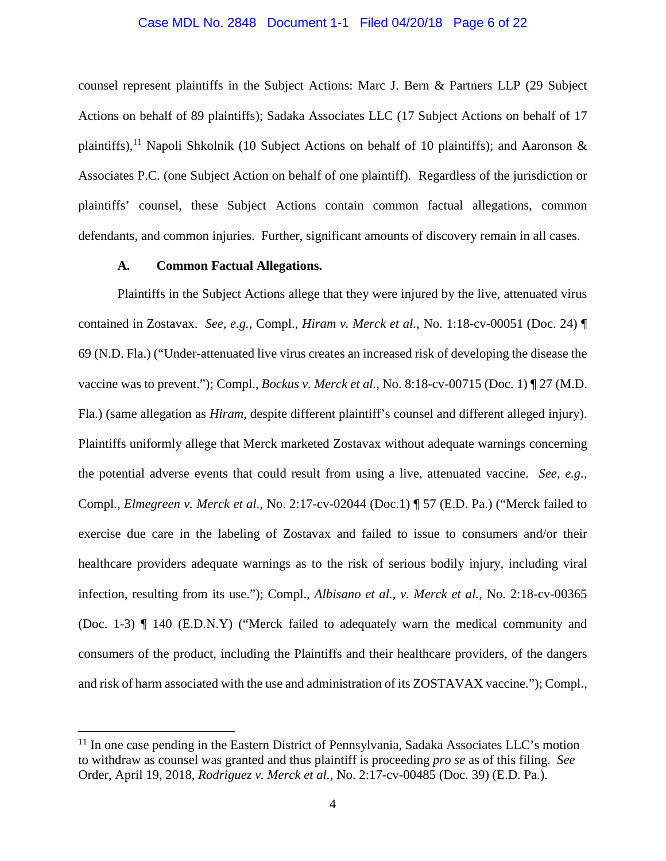#### Case MDL No. 2848 Document 1-1 Filed 04/20/18 Page 6 of 22

counsel represent plaintiffs in the Subject Actions: Marc J. Bern & Partners LLP (29 Subject Actions on behalf of 89 plaintiffs); Sadaka Associates LLC (17 Subject Actions on behalf of 17 plaintiffs),<sup>11</sup> Napoli Shkolnik (10 Subject Actions on behalf of 10 plaintiffs); and Aaronson  $\&$ Associates P.C. (one Subject Action on behalf of one plaintiff). Regardless of the jurisdiction or plaintiffs' counsel, these Subject Actions contain common factual allegations, common defendants, and common injuries. Further, significant amounts of discovery remain in all cases.

### **A. Common Factual Allegations.**

Plaintiffs in the Subject Actions allege that they were injured by the live, attenuated virus contained in Zostavax. *See, e.g.,* Compl., *Hiram v. Merck et al.*, No. 1:18-cv-00051 (Doc. 24) ¶ 69 (N.D. Fla.) ("Under-attenuated live virus creates an increased risk of developing the disease the vaccine was to prevent."); Compl., *Bockus v. Merck et al.*, No. 8:18-cv-00715 (Doc. 1) ¶ 27 (M.D. Fla.) (same allegation as *Hiram*, despite different plaintiff's counsel and different alleged injury). Plaintiffs uniformly allege that Merck marketed Zostavax without adequate warnings concerning the potential adverse events that could result from using a live, attenuated vaccine. *See, e.g.,* Compl., *Elmegreen v. Merck et al.*, No. 2:17-cv-02044 (Doc.1) ¶ 57 (E.D. Pa.) ("Merck failed to exercise due care in the labeling of Zostavax and failed to issue to consumers and/or their healthcare providers adequate warnings as to the risk of serious bodily injury, including viral infection, resulting from its use."); Compl., *Albisano et al., v. Merck et al.*, No. 2:18-cv-00365 (Doc. 1-3) ¶ 140 (E.D.N.Y) ("Merck failed to adequately warn the medical community and consumers of the product, including the Plaintiffs and their healthcare providers, of the dangers and risk of harm associated with the use and administration of its ZOSTAVAX vaccine."); Compl.,

 $11$  In one case pending in the Eastern District of Pennsylvania, Sadaka Associates LLC's motion to withdraw as counsel was granted and thus plaintiff is proceeding *pro se* as of this filing. *See* Order, April 19, 2018, *Rodriguez v. Merck et al.*, No. 2:17-cv-00485 (Doc. 39) (E.D. Pa.).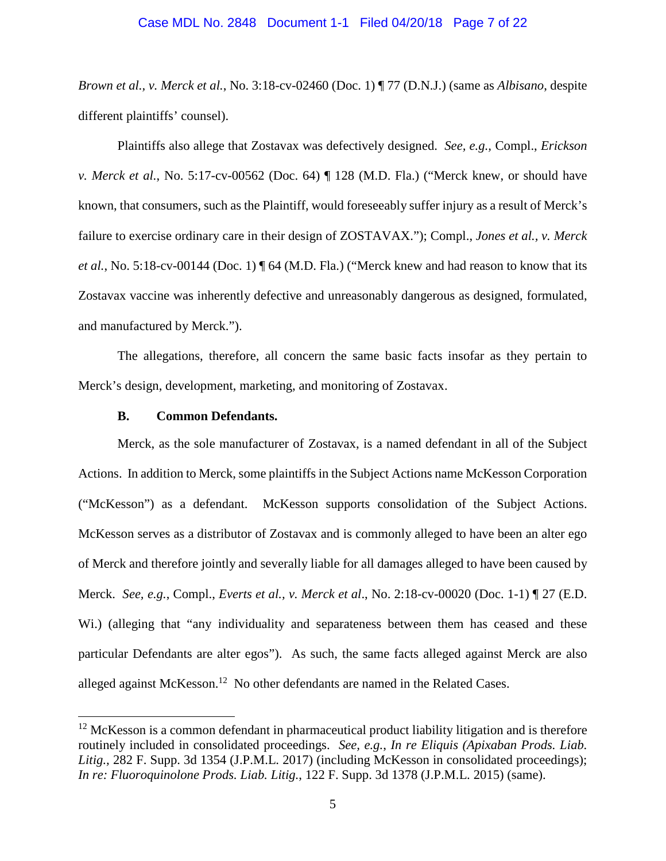#### Case MDL No. 2848 Document 1-1 Filed 04/20/18 Page 7 of 22

*Brown et al., v. Merck et al.*, No. 3:18-cv-02460 (Doc. 1) ¶ 77 (D.N.J.) (same as *Albisano*, despite different plaintiffs' counsel).

Plaintiffs also allege that Zostavax was defectively designed. *See, e.g.,* Compl., *Erickson v. Merck et al.*, No. 5:17-cv-00562 (Doc. 64) ¶ 128 (M.D. Fla.) ("Merck knew, or should have known, that consumers, such as the Plaintiff, would foreseeably suffer injury as a result of Merck's failure to exercise ordinary care in their design of ZOSTAVAX."); Compl., *Jones et al., v. Merck et al.*, No. 5:18-cv-00144 (Doc. 1) ¶ 64 (M.D. Fla.) ("Merck knew and had reason to know that its Zostavax vaccine was inherently defective and unreasonably dangerous as designed, formulated, and manufactured by Merck.").

The allegations, therefore, all concern the same basic facts insofar as they pertain to Merck's design, development, marketing, and monitoring of Zostavax.

#### **B. Common Defendants.**

Merck, as the sole manufacturer of Zostavax, is a named defendant in all of the Subject Actions. In addition to Merck, some plaintiffs in the Subject Actions name McKesson Corporation ("McKesson") as a defendant. McKesson supports consolidation of the Subject Actions. McKesson serves as a distributor of Zostavax and is commonly alleged to have been an alter ego of Merck and therefore jointly and severally liable for all damages alleged to have been caused by Merck. *See, e.g.*, Compl., *Everts et al., v. Merck et al*., No. 2:18-cv-00020 (Doc. 1-1) ¶ 27 (E.D. Wi.) (alleging that "any individuality and separateness between them has ceased and these particular Defendants are alter egos"). As such, the same facts alleged against Merck are also alleged against McKesson.<sup>12</sup> No other defendants are named in the Related Cases.

 $12$  McKesson is a common defendant in pharmaceutical product liability litigation and is therefore routinely included in consolidated proceedings. *See, e.g.*, *In re Eliquis (Apixaban Prods. Liab. Litig.,* 282 F. Supp. 3d 1354 (J.P.M.L. 2017) (including McKesson in consolidated proceedings); *In re: Fluoroquinolone Prods. Liab. Litig.*, 122 F. Supp. 3d 1378 (J.P.M.L. 2015) (same).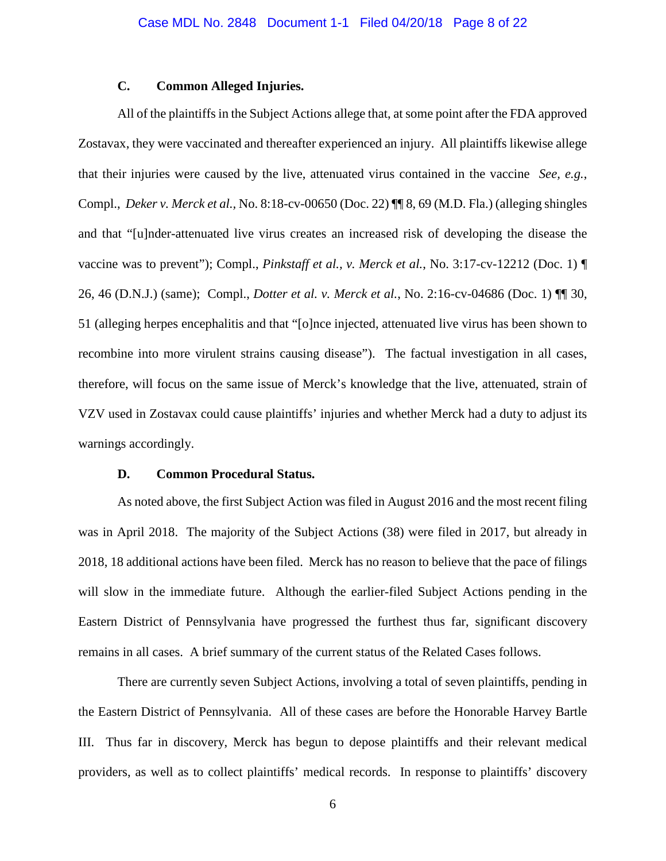# **C. Common Alleged Injuries.**

All of the plaintiffs in the Subject Actions allege that, at some point after the FDA approved Zostavax, they were vaccinated and thereafter experienced an injury. All plaintiffs likewise allege that their injuries were caused by the live, attenuated virus contained in the vaccine *See, e.g.*, Compl., *Deker v. Merck et al.,* No. 8:18-cv-00650 (Doc. 22) ¶¶ 8, 69 (M.D. Fla.) (alleging shingles and that "[u]nder-attenuated live virus creates an increased risk of developing the disease the vaccine was to prevent"); Compl., *Pinkstaff et al., v. Merck et al.*, No. 3:17-cv-12212 (Doc. 1) ¶ 26, 46 (D.N.J.) (same); Compl., *Dotter et al. v. Merck et al.*, No. 2:16-cv-04686 (Doc. 1) ¶¶ 30, 51 (alleging herpes encephalitis and that "[o]nce injected, attenuated live virus has been shown to recombine into more virulent strains causing disease"). The factual investigation in all cases, therefore, will focus on the same issue of Merck's knowledge that the live, attenuated, strain of VZV used in Zostavax could cause plaintiffs' injuries and whether Merck had a duty to adjust its warnings accordingly.

#### **D. Common Procedural Status.**

As noted above, the first Subject Action was filed in August 2016 and the most recent filing was in April 2018. The majority of the Subject Actions (38) were filed in 2017, but already in 2018, 18 additional actions have been filed. Merck has no reason to believe that the pace of filings will slow in the immediate future. Although the earlier-filed Subject Actions pending in the Eastern District of Pennsylvania have progressed the furthest thus far, significant discovery remains in all cases. A brief summary of the current status of the Related Cases follows.

There are currently seven Subject Actions, involving a total of seven plaintiffs, pending in the Eastern District of Pennsylvania. All of these cases are before the Honorable Harvey Bartle III. Thus far in discovery, Merck has begun to depose plaintiffs and their relevant medical providers, as well as to collect plaintiffs' medical records. In response to plaintiffs' discovery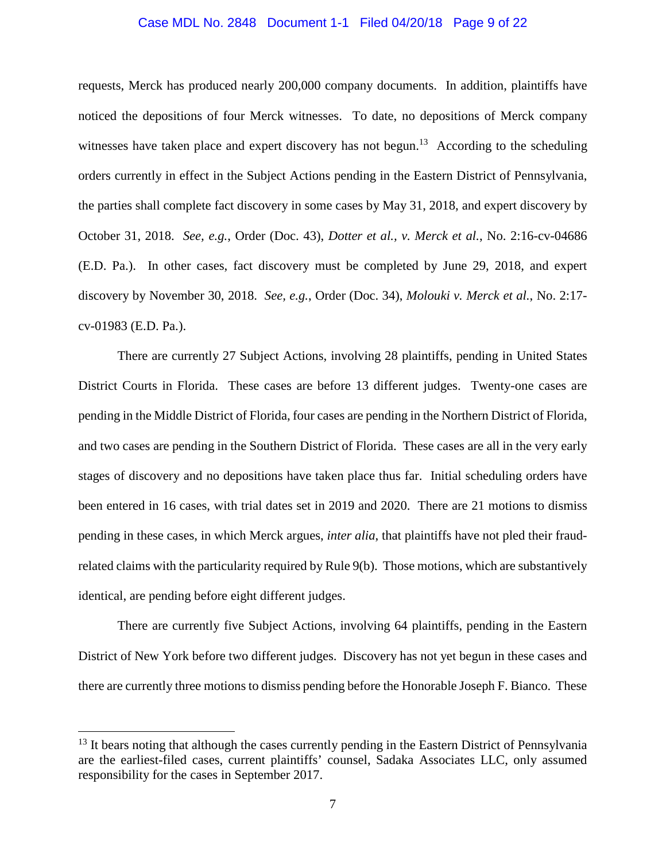#### Case MDL No. 2848 Document 1-1 Filed 04/20/18 Page 9 of 22

requests, Merck has produced nearly 200,000 company documents. In addition, plaintiffs have noticed the depositions of four Merck witnesses. To date, no depositions of Merck company witnesses have taken place and expert discovery has not begun.<sup>13</sup> According to the scheduling orders currently in effect in the Subject Actions pending in the Eastern District of Pennsylvania, the parties shall complete fact discovery in some cases by May 31, 2018, and expert discovery by October 31, 2018. *See, e.g.*, Order (Doc. 43), *Dotter et al., v. Merck et al.*, No. 2:16-cv-04686 (E.D. Pa.). In other cases, fact discovery must be completed by June 29, 2018, and expert discovery by November 30, 2018. *See, e.g.*, Order (Doc. 34), *Molouki v. Merck et al.*, No. 2:17 cv-01983 (E.D. Pa.).

There are currently 27 Subject Actions, involving 28 plaintiffs, pending in United States District Courts in Florida. These cases are before 13 different judges. Twenty-one cases are pending in the Middle District of Florida, four cases are pending in the Northern District of Florida, and two cases are pending in the Southern District of Florida. These cases are all in the very early stages of discovery and no depositions have taken place thus far. Initial scheduling orders have been entered in 16 cases, with trial dates set in 2019 and 2020. There are 21 motions to dismiss pending in these cases, in which Merck argues, *inter alia*, that plaintiffs have not pled their fraudrelated claims with the particularity required by Rule 9(b). Those motions, which are substantively identical, are pending before eight different judges.

There are currently five Subject Actions, involving 64 plaintiffs, pending in the Eastern District of New York before two different judges. Discovery has not yet begun in these cases and there are currently three motions to dismiss pending before the Honorable Joseph F. Bianco. These

<sup>&</sup>lt;sup>13</sup> It bears noting that although the cases currently pending in the Eastern District of Pennsylvania are the earliest-filed cases, current plaintiffs' counsel, Sadaka Associates LLC, only assumed responsibility for the cases in September 2017.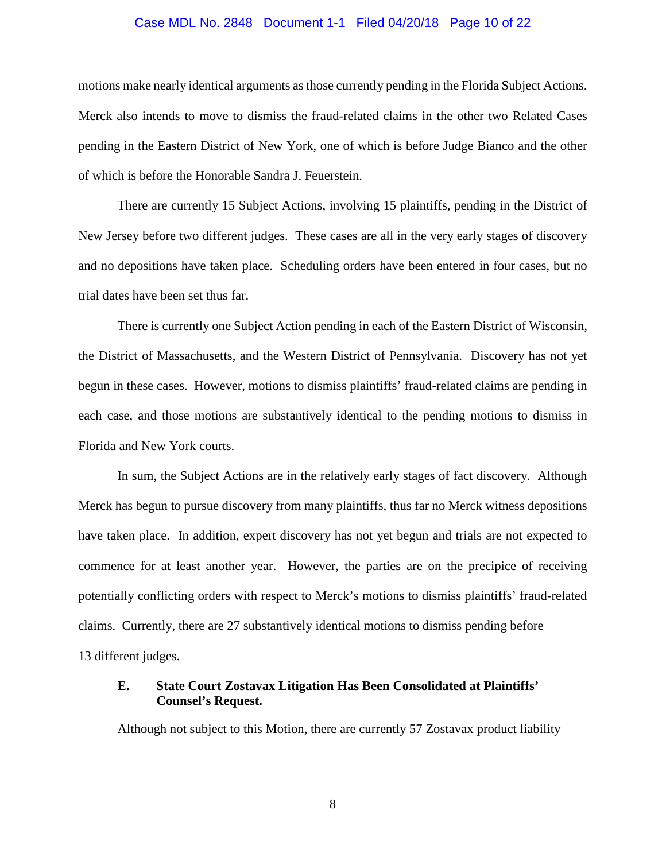### Case MDL No. 2848 Document 1-1 Filed 04/20/18 Page 10 of 22

motions make nearly identical arguments as those currently pending in the Florida Subject Actions. Merck also intends to move to dismiss the fraud-related claims in the other two Related Cases pending in the Eastern District of New York, one of which is before Judge Bianco and the other of which is before the Honorable Sandra J. Feuerstein.

There are currently 15 Subject Actions, involving 15 plaintiffs, pending in the District of New Jersey before two different judges. These cases are all in the very early stages of discovery and no depositions have taken place. Scheduling orders have been entered in four cases, but no trial dates have been set thus far.

There is currently one Subject Action pending in each of the Eastern District of Wisconsin, the District of Massachusetts, and the Western District of Pennsylvania. Discovery has not yet begun in these cases. However, motions to dismiss plaintiffs' fraud-related claims are pending in each case, and those motions are substantively identical to the pending motions to dismiss in Florida and New York courts.

In sum, the Subject Actions are in the relatively early stages of fact discovery. Although Merck has begun to pursue discovery from many plaintiffs, thus far no Merck witness depositions have taken place. In addition, expert discovery has not yet begun and trials are not expected to commence for at least another year. However, the parties are on the precipice of receiving potentially conflicting orders with respect to Merck's motions to dismiss plaintiffs' fraud-related claims. Currently, there are 27 substantively identical motions to dismiss pending before 13 different judges.

### **E. State Court Zostavax Litigation Has Been Consolidated at Plaintiffs' Counsel's Request.**

Although not subject to this Motion, there are currently 57 Zostavax product liability

8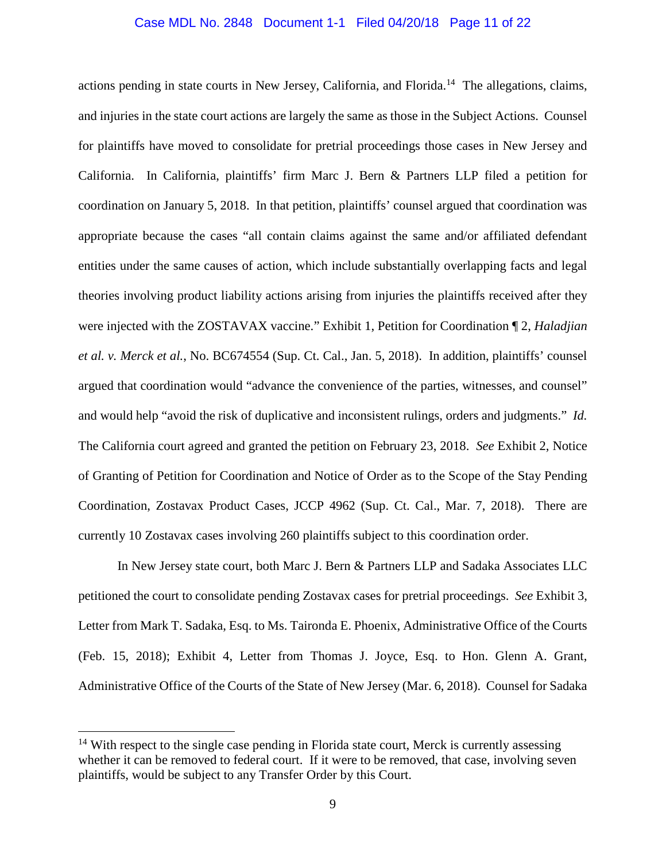#### Case MDL No. 2848 Document 1-1 Filed 04/20/18 Page 11 of 22

actions pending in state courts in New Jersey, California, and Florida.<sup>14</sup> The allegations, claims, and injuries in the state court actions are largely the same as those in the Subject Actions. Counsel for plaintiffs have moved to consolidate for pretrial proceedings those cases in New Jersey and California. In California, plaintiffs' firm Marc J. Bern & Partners LLP filed a petition for coordination on January 5, 2018. In that petition, plaintiffs' counsel argued that coordination was appropriate because the cases "all contain claims against the same and/or affiliated defendant entities under the same causes of action, which include substantially overlapping facts and legal theories involving product liability actions arising from injuries the plaintiffs received after they were injected with the ZOSTAVAX vaccine." Exhibit 1, Petition for Coordination ¶ 2, *Haladjian et al. v. Merck et al.*, No. BC674554 (Sup. Ct. Cal., Jan. 5, 2018). In addition, plaintiffs' counsel argued that coordination would "advance the convenience of the parties, witnesses, and counsel" and would help "avoid the risk of duplicative and inconsistent rulings, orders and judgments." *Id.* The California court agreed and granted the petition on February 23, 2018. *See* Exhibit 2, Notice of Granting of Petition for Coordination and Notice of Order as to the Scope of the Stay Pending Coordination, Zostavax Product Cases, JCCP 4962 (Sup. Ct. Cal., Mar. 7, 2018). There are currently 10 Zostavax cases involving 260 plaintiffs subject to this coordination order.

In New Jersey state court, both Marc J. Bern & Partners LLP and Sadaka Associates LLC petitioned the court to consolidate pending Zostavax cases for pretrial proceedings. *See* Exhibit 3, Letter from Mark T. Sadaka, Esq. to Ms. Taironda E. Phoenix, Administrative Office of the Courts (Feb. 15, 2018); Exhibit 4, Letter from Thomas J. Joyce, Esq. to Hon. Glenn A. Grant, Administrative Office of the Courts of the State of New Jersey (Mar. 6, 2018). Counsel for Sadaka

 $14$  With respect to the single case pending in Florida state court, Merck is currently assessing whether it can be removed to federal court. If it were to be removed, that case, involving seven plaintiffs, would be subject to any Transfer Order by this Court.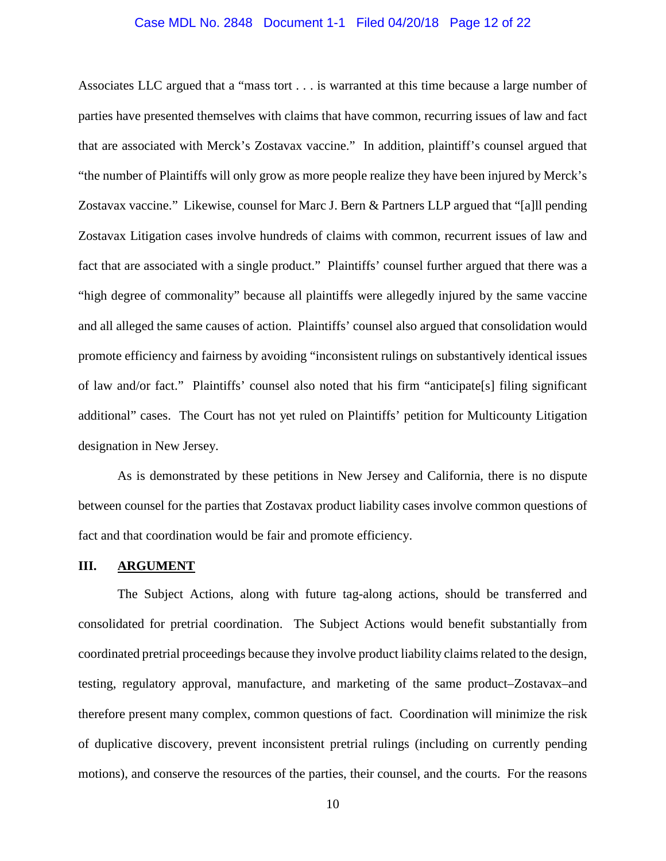#### Case MDL No. 2848 Document 1-1 Filed 04/20/18 Page 12 of 22

Associates LLC argued that a "mass tort . . . is warranted at this time because a large number of parties have presented themselves with claims that have common, recurring issues of law and fact that are associated with Merck's Zostavax vaccine." In addition, plaintiff's counsel argued that "the number of Plaintiffs will only grow as more people realize they have been injured by Merck's Zostavax vaccine." Likewise, counsel for Marc J. Bern & Partners LLP argued that "[a]ll pending Zostavax Litigation cases involve hundreds of claims with common, recurrent issues of law and fact that are associated with a single product." Plaintiffs' counsel further argued that there was a "high degree of commonality" because all plaintiffs were allegedly injured by the same vaccine and all alleged the same causes of action. Plaintiffs' counsel also argued that consolidation would promote efficiency and fairness by avoiding "inconsistent rulings on substantively identical issues of law and/or fact." Plaintiffs' counsel also noted that his firm "anticipate[s] filing significant additional" cases. The Court has not yet ruled on Plaintiffs' petition for Multicounty Litigation designation in New Jersey.

As is demonstrated by these petitions in New Jersey and California, there is no dispute between counsel for the parties that Zostavax product liability cases involve common questions of fact and that coordination would be fair and promote efficiency.

#### **III. ARGUMENT**

The Subject Actions, along with future tag-along actions, should be transferred and consolidated for pretrial coordination. The Subject Actions would benefit substantially from coordinated pretrial proceedings because they involve product liability claims related to the design, testing, regulatory approval, manufacture, and marketing of the same product–Zostavax–and therefore present many complex, common questions of fact. Coordination will minimize the risk of duplicative discovery, prevent inconsistent pretrial rulings (including on currently pending motions), and conserve the resources of the parties, their counsel, and the courts. For the reasons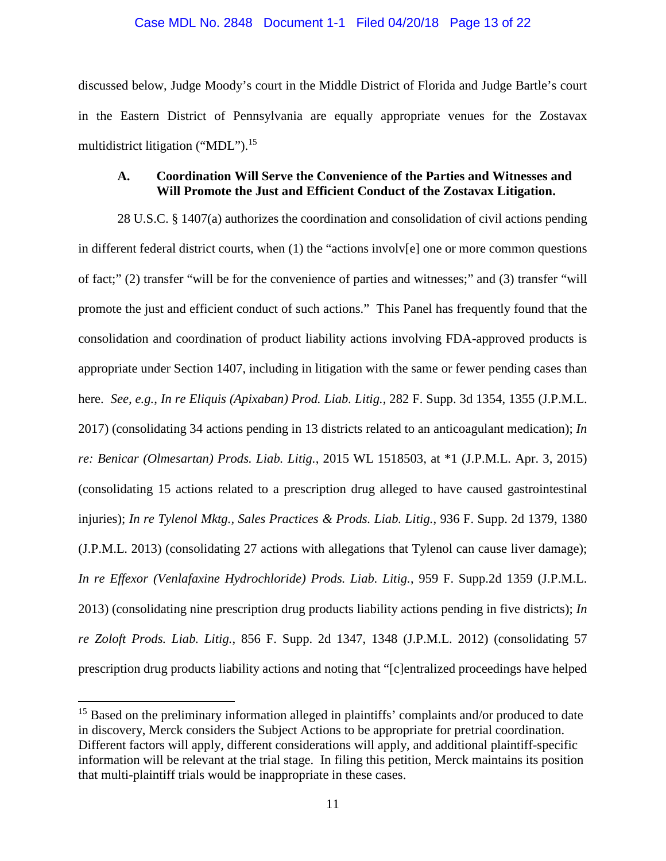#### Case MDL No. 2848 Document 1-1 Filed 04/20/18 Page 13 of 22

discussed below, Judge Moody's court in the Middle District of Florida and Judge Bartle's court in the Eastern District of Pennsylvania are equally appropriate venues for the Zostavax multidistrict litigation ("MDL").<sup>15</sup>

## **A. Coordination Will Serve the Convenience of the Parties and Witnesses and Will Promote the Just and Efficient Conduct of the Zostavax Litigation.**

28 U.S.C. § 1407(a) authorizes the coordination and consolidation of civil actions pending in different federal district courts, when  $(1)$  the "actions involv $[e]$  one or more common questions of fact;" (2) transfer "will be for the convenience of parties and witnesses;" and (3) transfer "will promote the just and efficient conduct of such actions." This Panel has frequently found that the consolidation and coordination of product liability actions involving FDA-approved products is appropriate under Section 1407, including in litigation with the same or fewer pending cases than here. *See, e.g.*, *In re Eliquis (Apixaban) Prod. Liab. Litig.*, 282 F. Supp. 3d 1354, 1355 (J.P.M.L. 2017) (consolidating 34 actions pending in 13 districts related to an anticoagulant medication); *In re: Benicar (Olmesartan) Prods. Liab. Litig.*, 2015 WL 1518503, at \*1 (J.P.M.L. Apr. 3, 2015) (consolidating 15 actions related to a prescription drug alleged to have caused gastrointestinal injuries); *In re Tylenol Mktg., Sales Practices & Prods. Liab. Litig.*, 936 F. Supp. 2d 1379, 1380 (J.P.M.L. 2013) (consolidating 27 actions with allegations that Tylenol can cause liver damage); *In re Effexor (Venlafaxine Hydrochloride) Prods. Liab. Litig.*, 959 F. Supp.2d 1359 (J.P.M.L. 2013) (consolidating nine prescription drug products liability actions pending in five districts); *In re Zoloft Prods. Liab. Litig.*, 856 F. Supp. 2d 1347, 1348 (J.P.M.L. 2012) (consolidating 57 prescription drug products liability actions and noting that "[c]entralized proceedings have helped

<sup>&</sup>lt;sup>15</sup> Based on the preliminary information alleged in plaintiffs' complaints and/or produced to date in discovery, Merck considers the Subject Actions to be appropriate for pretrial coordination. Different factors will apply, different considerations will apply, and additional plaintiff-specific information will be relevant at the trial stage. In filing this petition, Merck maintains its position that multi-plaintiff trials would be inappropriate in these cases.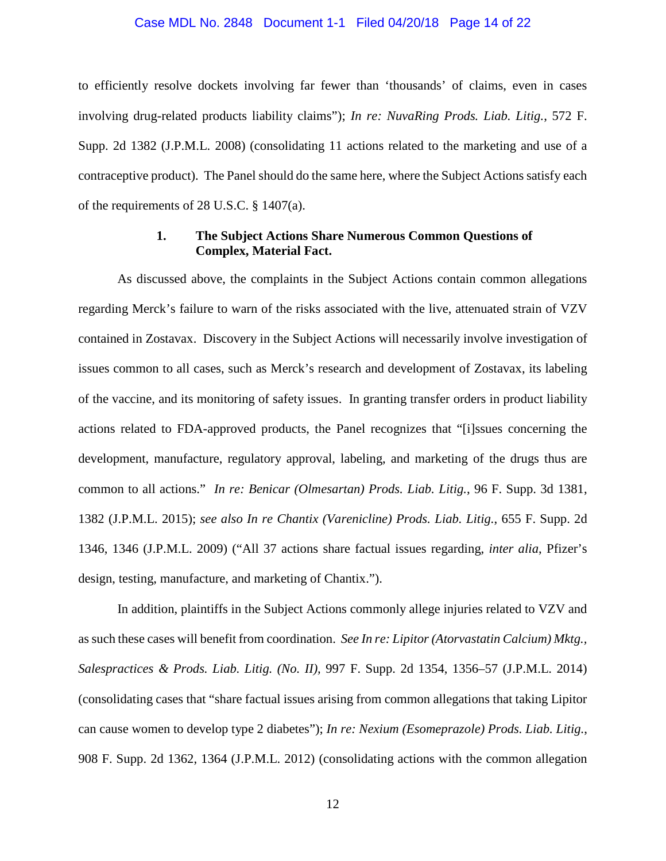#### Case MDL No. 2848 Document 1-1 Filed 04/20/18 Page 14 of 22

to efficiently resolve dockets involving far fewer than 'thousands' of claims, even in cases involving drug-related products liability claims"); *In re: NuvaRing Prods. Liab. Litig.*, 572 F. Supp. 2d 1382 (J.P.M.L. 2008) (consolidating 11 actions related to the marketing and use of a contraceptive product). The Panel should do the same here, where the Subject Actions satisfy each of the requirements of 28 U.S.C. § 1407(a).

# **1. The Subject Actions Share Numerous Common Questions of Complex, Material Fact.**

As discussed above, the complaints in the Subject Actions contain common allegations regarding Merck's failure to warn of the risks associated with the live, attenuated strain of VZV contained in Zostavax. Discovery in the Subject Actions will necessarily involve investigation of issues common to all cases, such as Merck's research and development of Zostavax, its labeling of the vaccine, and its monitoring of safety issues. In granting transfer orders in product liability actions related to FDA-approved products, the Panel recognizes that "[i]ssues concerning the development, manufacture, regulatory approval, labeling, and marketing of the drugs thus are common to all actions." *In re: Benicar (Olmesartan) Prods. Liab. Litig.*, 96 F. Supp. 3d 1381, 1382 (J.P.M.L. 2015); *see also In re Chantix (Varenicline) Prods. Liab. Litig.*, 655 F. Supp. 2d 1346, 1346 (J.P.M.L. 2009) ("All 37 actions share factual issues regarding, *inter alia*, Pfizer's design, testing, manufacture, and marketing of Chantix.").

In addition, plaintiffs in the Subject Actions commonly allege injuries related to VZV and as such these cases will benefit from coordination. *See In re: Lipitor (Atorvastatin Calcium) Mktg., Salespractices & Prods. Liab. Litig. (No. II),* 997 F. Supp. 2d 1354, 1356–57 (J.P.M.L. 2014) (consolidating cases that "share factual issues arising from common allegations that taking Lipitor can cause women to develop type 2 diabetes"); *In re: Nexium (Esomeprazole) Prods. Liab. Litig.*, 908 F. Supp. 2d 1362, 1364 (J.P.M.L. 2012) (consolidating actions with the common allegation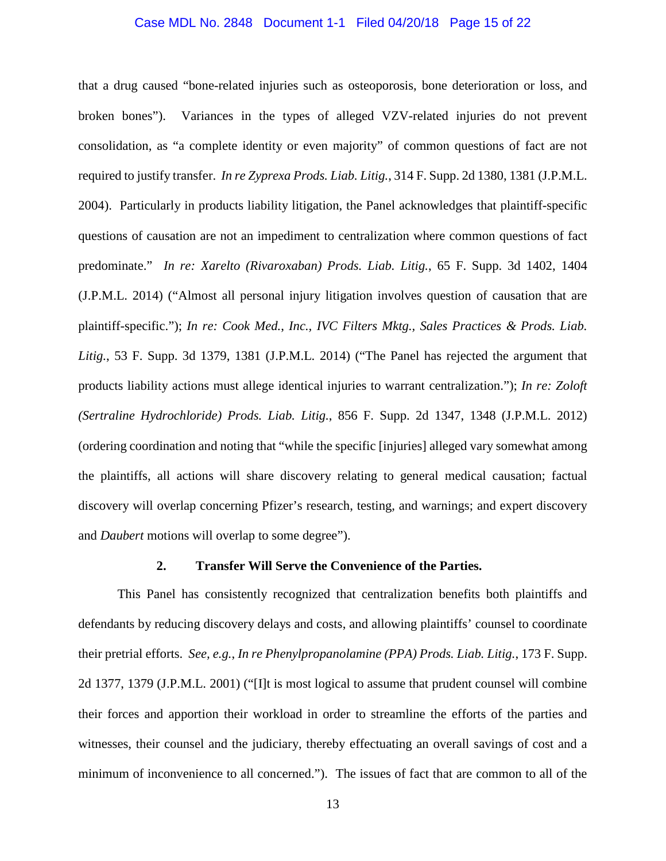#### Case MDL No. 2848 Document 1-1 Filed 04/20/18 Page 15 of 22

that a drug caused "bone-related injuries such as osteoporosis, bone deterioration or loss, and broken bones"). Variances in the types of alleged VZV-related injuries do not prevent consolidation, as "a complete identity or even majority" of common questions of fact are not required to justify transfer. *In re Zyprexa Prods. Liab. Litig.*, 314 F. Supp. 2d 1380, 1381 (J.P.M.L. 2004). Particularly in products liability litigation, the Panel acknowledges that plaintiff-specific questions of causation are not an impediment to centralization where common questions of fact predominate." *In re: Xarelto (Rivaroxaban) Prods. Liab. Litig.*, 65 F. Supp. 3d 1402, 1404 (J.P.M.L. 2014) ("Almost all personal injury litigation involves question of causation that are plaintiff-specific."); *In re: Cook Med.*, *Inc., IVC Filters Mktg., Sales Practices & Prods. Liab. Litig.*, 53 F. Supp. 3d 1379, 1381 (J.P.M.L. 2014) ("The Panel has rejected the argument that products liability actions must allege identical injuries to warrant centralization."); *In re: Zoloft (Sertraline Hydrochloride) Prods. Liab. Litig.*, 856 F. Supp. 2d 1347, 1348 (J.P.M.L. 2012) (ordering coordination and noting that "while the specific [injuries] alleged vary somewhat among the plaintiffs, all actions will share discovery relating to general medical causation; factual discovery will overlap concerning Pfizer's research, testing, and warnings; and expert discovery and *Daubert* motions will overlap to some degree").

#### **2. Transfer Will Serve the Convenience of the Parties.**

This Panel has consistently recognized that centralization benefits both plaintiffs and defendants by reducing discovery delays and costs, and allowing plaintiffs' counsel to coordinate their pretrial efforts. *See, e.g.*, *In re Phenylpropanolamine (PPA) Prods. Liab. Litig.*, 173 F. Supp. 2d 1377, 1379 (J.P.M.L. 2001) ("[I]t is most logical to assume that prudent counsel will combine their forces and apportion their workload in order to streamline the efforts of the parties and witnesses, their counsel and the judiciary, thereby effectuating an overall savings of cost and a minimum of inconvenience to all concerned."). The issues of fact that are common to all of the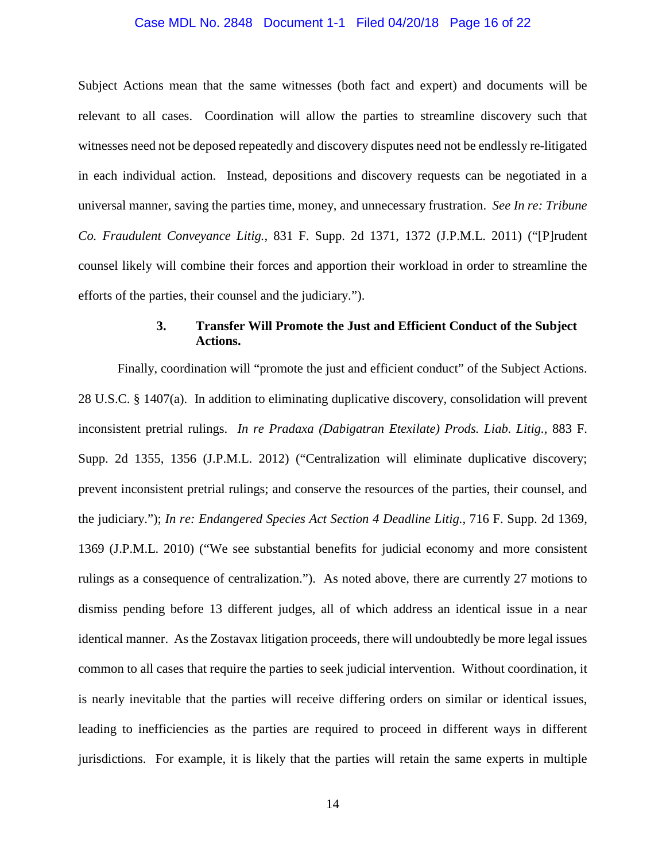#### Case MDL No. 2848 Document 1-1 Filed 04/20/18 Page 16 of 22

Subject Actions mean that the same witnesses (both fact and expert) and documents will be relevant to all cases. Coordination will allow the parties to streamline discovery such that witnesses need not be deposed repeatedly and discovery disputes need not be endlessly re-litigated in each individual action. Instead, depositions and discovery requests can be negotiated in a universal manner, saving the parties time, money, and unnecessary frustration. *See In re: Tribune Co. Fraudulent Conveyance Litig.*, 831 F. Supp. 2d 1371, 1372 (J.P.M.L. 2011) ("[P]rudent counsel likely will combine their forces and apportion their workload in order to streamline the efforts of the parties, their counsel and the judiciary.").

# **3. Transfer Will Promote the Just and Efficient Conduct of the Subject Actions.**

Finally, coordination will "promote the just and efficient conduct" of the Subject Actions. 28 U.S.C. § 1407(a). In addition to eliminating duplicative discovery, consolidation will prevent inconsistent pretrial rulings. *In re Pradaxa (Dabigatran Etexilate) Prods. Liab. Litig.*, 883 F. Supp. 2d 1355, 1356 (J.P.M.L. 2012) ("Centralization will eliminate duplicative discovery; prevent inconsistent pretrial rulings; and conserve the resources of the parties, their counsel, and the judiciary."); *In re: Endangered Species Act Section 4 Deadline Litig.*, 716 F. Supp. 2d 1369, 1369 (J.P.M.L. 2010) ("We see substantial benefits for judicial economy and more consistent rulings as a consequence of centralization."). As noted above, there are currently 27 motions to dismiss pending before 13 different judges, all of which address an identical issue in a near identical manner. As the Zostavax litigation proceeds, there will undoubtedly be more legal issues common to all cases that require the parties to seek judicial intervention. Without coordination, it is nearly inevitable that the parties will receive differing orders on similar or identical issues, leading to inefficiencies as the parties are required to proceed in different ways in different jurisdictions. For example, it is likely that the parties will retain the same experts in multiple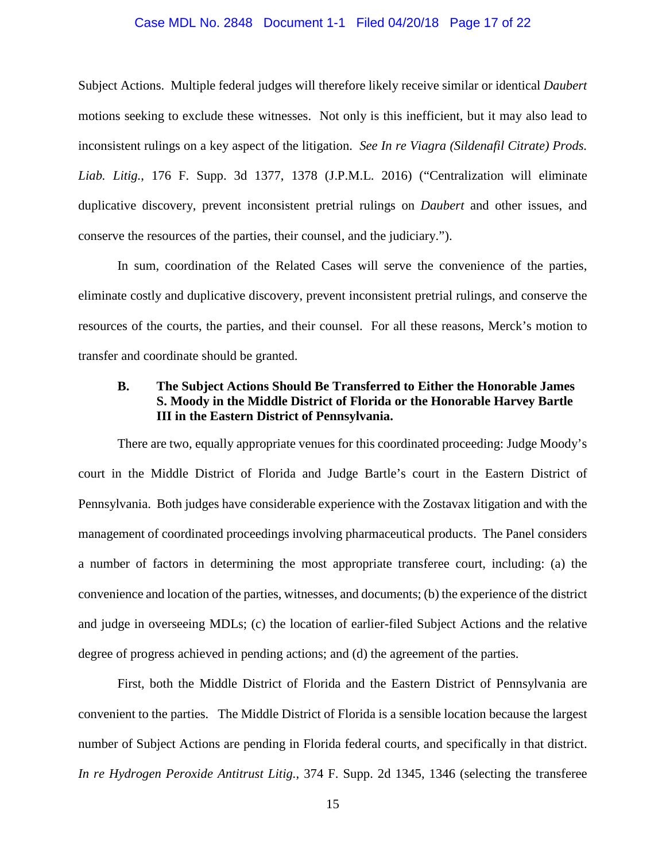#### Case MDL No. 2848 Document 1-1 Filed 04/20/18 Page 17 of 22

Subject Actions. Multiple federal judges will therefore likely receive similar or identical *Daubert* motions seeking to exclude these witnesses. Not only is this inefficient, but it may also lead to inconsistent rulings on a key aspect of the litigation. *See In re Viagra (Sildenafil Citrate) Prods. Liab. Litig.*, 176 F. Supp. 3d 1377, 1378 (J.P.M.L. 2016) ("Centralization will eliminate duplicative discovery, prevent inconsistent pretrial rulings on *Daubert* and other issues, and conserve the resources of the parties, their counsel, and the judiciary.").

In sum, coordination of the Related Cases will serve the convenience of the parties, eliminate costly and duplicative discovery, prevent inconsistent pretrial rulings, and conserve the resources of the courts, the parties, and their counsel. For all these reasons, Merck's motion to transfer and coordinate should be granted.

# **B. The Subject Actions Should Be Transferred to Either the Honorable James S. Moody in the Middle District of Florida or the Honorable Harvey Bartle III in the Eastern District of Pennsylvania.**

There are two, equally appropriate venues for this coordinated proceeding: Judge Moody's court in the Middle District of Florida and Judge Bartle's court in the Eastern District of Pennsylvania. Both judges have considerable experience with the Zostavax litigation and with the management of coordinated proceedings involving pharmaceutical products. The Panel considers a number of factors in determining the most appropriate transferee court, including: (a) the convenience and location of the parties, witnesses, and documents; (b) the experience of the district and judge in overseeing MDLs; (c) the location of earlier-filed Subject Actions and the relative degree of progress achieved in pending actions; and (d) the agreement of the parties.

First, both the Middle District of Florida and the Eastern District of Pennsylvania are convenient to the parties. The Middle District of Florida is a sensible location because the largest number of Subject Actions are pending in Florida federal courts, and specifically in that district. *In re Hydrogen Peroxide Antitrust Litig.*, 374 F. Supp. 2d 1345, 1346 (selecting the transferee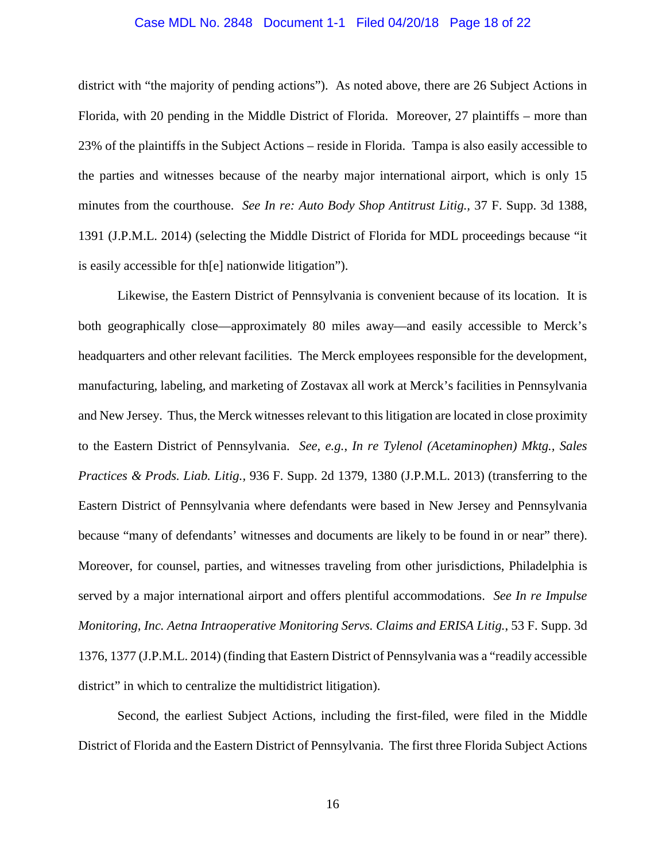#### Case MDL No. 2848 Document 1-1 Filed 04/20/18 Page 18 of 22

district with "the majority of pending actions"). As noted above, there are 26 Subject Actions in Florida, with 20 pending in the Middle District of Florida. Moreover, 27 plaintiffs – more than 23% of the plaintiffs in the Subject Actions – reside in Florida. Tampa is also easily accessible to the parties and witnesses because of the nearby major international airport, which is only 15 minutes from the courthouse. *See In re: Auto Body Shop Antitrust Litig.,* 37 F. Supp. 3d 1388, 1391 (J.P.M.L. 2014) (selecting the Middle District of Florida for MDL proceedings because "it is easily accessible for th[e] nationwide litigation").

Likewise, the Eastern District of Pennsylvania is convenient because of its location. It is both geographically close—approximately 80 miles away—and easily accessible to Merck's headquarters and other relevant facilities. The Merck employees responsible for the development, manufacturing, labeling, and marketing of Zostavax all work at Merck's facilities in Pennsylvania and New Jersey. Thus, the Merck witnesses relevant to this litigation are located in close proximity to the Eastern District of Pennsylvania. *See, e.g.*, *In re Tylenol (Acetaminophen) Mktg., Sales Practices & Prods. Liab. Litig.,* 936 F. Supp. 2d 1379, 1380 (J.P.M.L. 2013) (transferring to the Eastern District of Pennsylvania where defendants were based in New Jersey and Pennsylvania because "many of defendants' witnesses and documents are likely to be found in or near" there). Moreover, for counsel, parties, and witnesses traveling from other jurisdictions, Philadelphia is served by a major international airport and offers plentiful accommodations. *See In re Impulse Monitoring, Inc. Aetna Intraoperative Monitoring Servs. Claims and ERISA Litig.*, 53 F. Supp. 3d 1376, 1377 (J.P.M.L. 2014) (finding that Eastern District of Pennsylvania was a "readily accessible district" in which to centralize the multidistrict litigation).

Second, the earliest Subject Actions, including the first-filed, were filed in the Middle District of Florida and the Eastern District of Pennsylvania. The first three Florida Subject Actions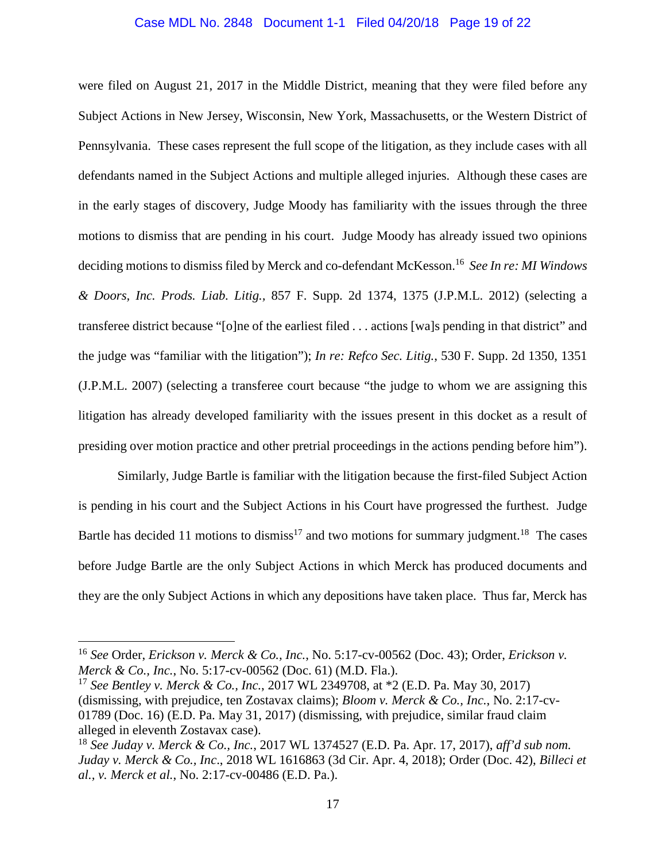#### Case MDL No. 2848 Document 1-1 Filed 04/20/18 Page 19 of 22

were filed on August 21, 2017 in the Middle District, meaning that they were filed before any Subject Actions in New Jersey, Wisconsin, New York, Massachusetts, or the Western District of Pennsylvania. These cases represent the full scope of the litigation, as they include cases with all defendants named in the Subject Actions and multiple alleged injuries. Although these cases are in the early stages of discovery, Judge Moody has familiarity with the issues through the three motions to dismiss that are pending in his court. Judge Moody has already issued two opinions deciding motions to dismiss filed by Merck and co-defendant McKesson.<sup>16</sup> *See In re: MI Windows & Doors, Inc. Prods. Liab. Litig.,* 857 F. Supp. 2d 1374, 1375 (J.P.M.L. 2012) (selecting a transferee district because "[o]ne of the earliest filed . . . actions [wa]s pending in that district" and the judge was "familiar with the litigation"); *In re: Refco Sec. Litig.*, 530 F. Supp. 2d 1350, 1351 (J.P.M.L. 2007) (selecting a transferee court because "the judge to whom we are assigning this litigation has already developed familiarity with the issues present in this docket as a result of presiding over motion practice and other pretrial proceedings in the actions pending before him").

Similarly, Judge Bartle is familiar with the litigation because the first-filed Subject Action is pending in his court and the Subject Actions in his Court have progressed the furthest. Judge Bartle has decided 11 motions to dismiss<sup>17</sup> and two motions for summary judgment.<sup>18</sup> The cases before Judge Bartle are the only Subject Actions in which Merck has produced documents and they are the only Subject Actions in which any depositions have taken place. Thus far, Merck has

<sup>16</sup> *See* Order, *Erickson v. Merck & Co., Inc.*, No. 5:17-cv-00562 (Doc. 43); Order, *Erickson v. Merck & Co., Inc.*, No. 5:17-cv-00562 (Doc. 61) (M.D. Fla.).

<sup>17</sup> *See Bentley v. Merck & Co., Inc.*, 2017 WL 2349708, at \*2 (E.D. Pa. May 30, 2017) (dismissing, with prejudice, ten Zostavax claims); *Bloom v. Merck & Co., Inc.*, No. 2:17-cv-01789 (Doc. 16) (E.D. Pa. May 31, 2017) (dismissing, with prejudice, similar fraud claim alleged in eleventh Zostavax case).

<sup>18</sup> *See Juday v. Merck & Co., Inc.*, 2017 WL 1374527 (E.D. Pa. Apr. 17, 2017), *aff'd sub nom. Juday v. Merck & Co., Inc*., 2018 WL 1616863 (3d Cir. Apr. 4, 2018); Order (Doc. 42), *Billeci et al., v. Merck et al.*, No. 2:17-cv-00486 (E.D. Pa.).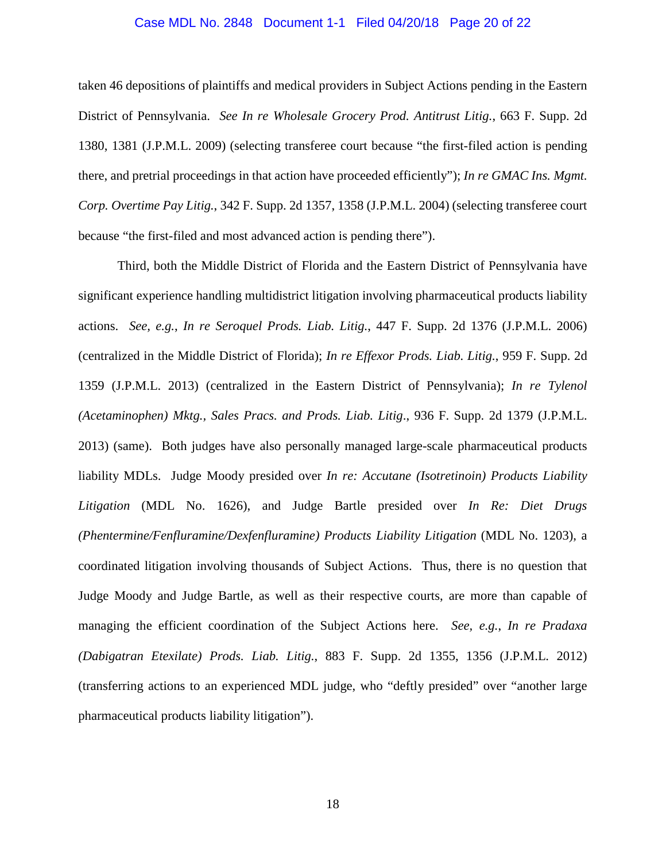#### Case MDL No. 2848 Document 1-1 Filed 04/20/18 Page 20 of 22

taken 46 depositions of plaintiffs and medical providers in Subject Actions pending in the Eastern District of Pennsylvania. *See In re Wholesale Grocery Prod. Antitrust Litig.*, 663 F. Supp. 2d 1380, 1381 (J.P.M.L. 2009) (selecting transferee court because "the first-filed action is pending there, and pretrial proceedings in that action have proceeded efficiently"); *In re GMAC Ins. Mgmt. Corp. Overtime Pay Litig.*, 342 F. Supp. 2d 1357, 1358 (J.P.M.L. 2004) (selecting transferee court because "the first-filed and most advanced action is pending there").

Third, both the Middle District of Florida and the Eastern District of Pennsylvania have significant experience handling multidistrict litigation involving pharmaceutical products liability actions. *See, e.g.*, *In re Seroquel Prods. Liab. Litig.*, 447 F. Supp. 2d 1376 (J.P.M.L. 2006) (centralized in the Middle District of Florida); *In re Effexor Prods. Liab. Litig.*, 959 F. Supp. 2d 1359 (J.P.M.L. 2013) (centralized in the Eastern District of Pennsylvania); *In re Tylenol (Acetaminophen) Mktg., Sales Pracs. and Prods. Liab. Litig*., 936 F. Supp. 2d 1379 (J.P.M.L. 2013) (same). Both judges have also personally managed large-scale pharmaceutical products liability MDLs. Judge Moody presided over *In re: Accutane (Isotretinoin) Products Liability Litigation* (MDL No. 1626), and Judge Bartle presided over *In Re: Diet Drugs (Phentermine/Fenfluramine/Dexfenfluramine) Products Liability Litigation* (MDL No. 1203), a coordinated litigation involving thousands of Subject Actions. Thus, there is no question that Judge Moody and Judge Bartle, as well as their respective courts, are more than capable of managing the efficient coordination of the Subject Actions here. *See, e.g.*, *In re Pradaxa (Dabigatran Etexilate) Prods. Liab. Litig.*, 883 F. Supp. 2d 1355, 1356 (J.P.M.L. 2012) (transferring actions to an experienced MDL judge, who "deftly presided" over "another large pharmaceutical products liability litigation").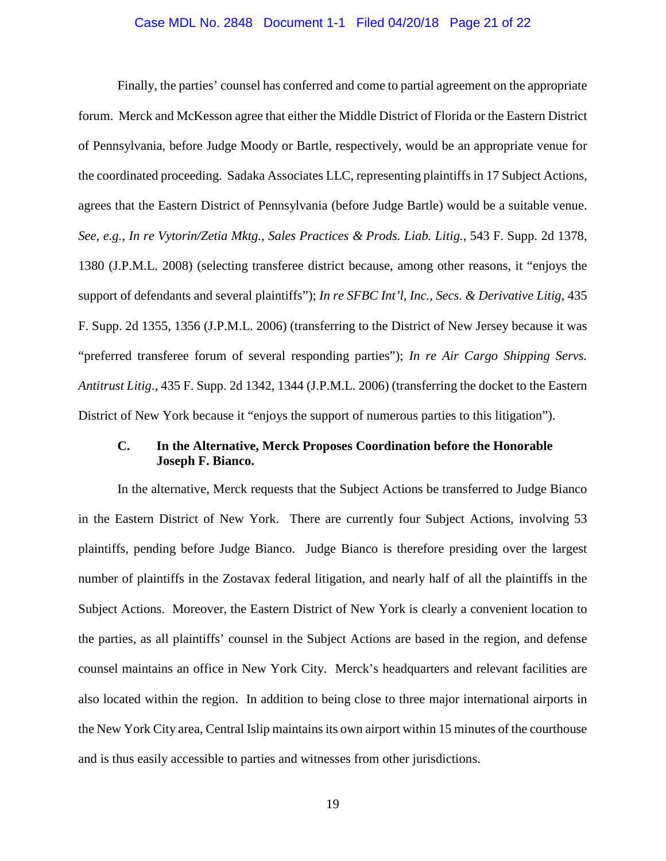#### Case MDL No. 2848 Document 1-1 Filed 04/20/18 Page 21 of 22

Finally, the parties' counsel has conferred and come to partial agreement on the appropriate forum. Merck and McKesson agree that either the Middle District of Florida or the Eastern District of Pennsylvania, before Judge Moody or Bartle, respectively, would be an appropriate venue for the coordinated proceeding. Sadaka Associates LLC, representing plaintiffs in 17 Subject Actions, agrees that the Eastern District of Pennsylvania (before Judge Bartle) would be a suitable venue. *See, e.g.*, *In re Vytorin/Zetia Mktg., Sales Practices & Prods. Liab. Litig.*, 543 F. Supp. 2d 1378, 1380 (J.P.M.L. 2008) (selecting transferee district because, among other reasons, it "enjoys the support of defendants and several plaintiffs"); *In re SFBC Int'l, Inc., Secs. & Derivative Litig*, 435 F. Supp. 2d 1355, 1356 (J.P.M.L. 2006) (transferring to the District of New Jersey because it was "preferred transferee forum of several responding parties"); *In re Air Cargo Shipping Servs. Antitrust Litig.*, 435 F. Supp. 2d 1342, 1344 (J.P.M.L. 2006) (transferring the docket to the Eastern District of New York because it "enjoys the support of numerous parties to this litigation").

# **C. In the Alternative, Merck Proposes Coordination before the Honorable Joseph F. Bianco.**

In the alternative, Merck requests that the Subject Actions be transferred to Judge Bianco in the Eastern District of New York. There are currently four Subject Actions, involving 53 plaintiffs, pending before Judge Bianco. Judge Bianco is therefore presiding over the largest number of plaintiffs in the Zostavax federal litigation, and nearly half of all the plaintiffs in the Subject Actions. Moreover, the Eastern District of New York is clearly a convenient location to the parties, as all plaintiffs' counsel in the Subject Actions are based in the region, and defense counsel maintains an office in New York City. Merck's headquarters and relevant facilities are also located within the region. In addition to being close to three major international airports in the New York City area, Central Islip maintains its own airport within 15 minutes of the courthouse and is thus easily accessible to parties and witnesses from other jurisdictions.